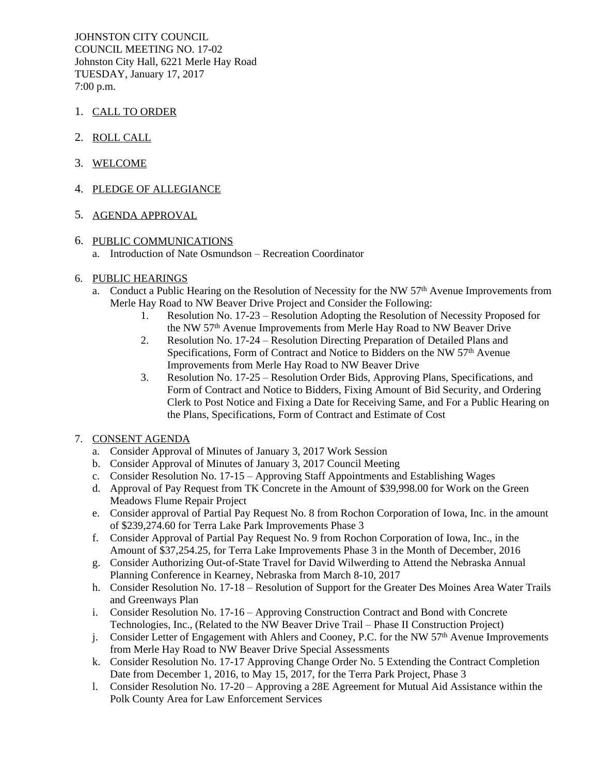JOHNSTON CITY COUNCIL COUNCIL MEETING NO. 17-02 Johnston City Hall, 6221 Merle Hay Road TUESDAY, January 17, 2017 7:00 p.m.

- 1. CALL TO ORDER
- 2. ROLL CALL
- 3. WELCOME
- 4. PLEDGE OF ALLEGIANCE

# 5. AGENDA APPROVAL

6. PUBLIC COMMUNICATIONS a. Introduction of Nate Osmundson – Recreation Coordinator

### 6. PUBLIC HEARINGS

- a. Conduct a Public Hearing on the Resolution of Necessity for the NW 57<sup>th</sup> Avenue Improvements from Merle Hay Road to NW Beaver Drive Project and Consider the Following:
	- 1. Resolution No. 17-23 Resolution Adopting the Resolution of Necessity Proposed for the NW 57th Avenue Improvements from Merle Hay Road to NW Beaver Drive
	- 2. Resolution No. 17-24 Resolution Directing Preparation of Detailed Plans and Specifications, Form of Contract and Notice to Bidders on the NW 57<sup>th</sup> Avenue Improvements from Merle Hay Road to NW Beaver Drive
	- 3. Resolution No. 17-25 Resolution Order Bids, Approving Plans, Specifications, and Form of Contract and Notice to Bidders, Fixing Amount of Bid Security, and Ordering Clerk to Post Notice and Fixing a Date for Receiving Same, and For a Public Hearing on the Plans, Specifications, Form of Contract and Estimate of Cost

### 7. CONSENT AGENDA

- a. Consider Approval of Minutes of January 3, 2017 Work Session
- b. Consider Approval of Minutes of January 3, 2017 Council Meeting
- c. Consider Resolution No. 17-15 Approving Staff Appointments and Establishing Wages
- d. Approval of Pay Request from TK Concrete in the Amount of \$39,998.00 for Work on the Green Meadows Flume Repair Project
- e. Consider approval of Partial Pay Request No. 8 from Rochon Corporation of Iowa, Inc. in the amount of \$239,274.60 for Terra Lake Park Improvements Phase 3
- f. Consider Approval of Partial Pay Request No. 9 from Rochon Corporation of Iowa, Inc., in the Amount of \$37,254.25, for Terra Lake Improvements Phase 3 in the Month of December, 2016
- g. Consider Authorizing Out-of-State Travel for David Wilwerding to Attend the Nebraska Annual Planning Conference in Kearney, Nebraska from March 8-10, 2017
- h. Consider Resolution No. 17-18 Resolution of Support for the Greater Des Moines Area Water Trails and Greenways Plan
- i. Consider Resolution No. 17-16 Approving Construction Contract and Bond with Concrete Technologies, Inc., (Related to the NW Beaver Drive Trail – Phase II Construction Project)
- j. Consider Letter of Engagement with Ahlers and Cooney, P.C. for the NW  $57<sup>th</sup>$  Avenue Improvements from Merle Hay Road to NW Beaver Drive Special Assessments
- k. Consider Resolution No. 17-17 Approving Change Order No. 5 Extending the Contract Completion Date from December 1, 2016, to May 15, 2017, for the Terra Park Project, Phase 3
- l. Consider Resolution No. 17-20 Approving a 28E Agreement for Mutual Aid Assistance within the Polk County Area for Law Enforcement Services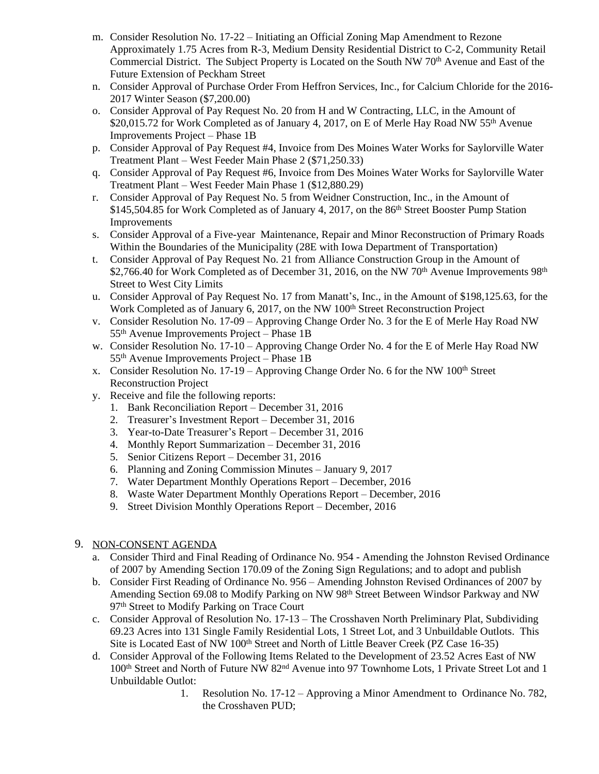- m. Consider Resolution No. 17-22 Initiating an Official Zoning Map Amendment to Rezone Approximately 1.75 Acres from R-3, Medium Density Residential District to C-2, Community Retail Commercial District. The Subject Property is Located on the South NW 70th Avenue and East of the Future Extension of Peckham Street
- n. Consider Approval of Purchase Order From Heffron Services, Inc., for Calcium Chloride for the 2016- 2017 Winter Season (\$7,200.00)
- o. Consider Approval of Pay Request No. 20 from H and W Contracting, LLC, in the Amount of \$20,015.72 for Work Completed as of January 4, 2017, on E of Merle Hay Road NW 55<sup>th</sup> Avenue Improvements Project – Phase 1B
- p. Consider Approval of Pay Request #4, Invoice from Des Moines Water Works for Saylorville Water Treatment Plant – West Feeder Main Phase 2 (\$71,250.33)
- q. Consider Approval of Pay Request #6, Invoice from Des Moines Water Works for Saylorville Water Treatment Plant – West Feeder Main Phase 1 (\$12,880.29)
- r. Consider Approval of Pay Request No. 5 from Weidner Construction, Inc., in the Amount of \$145,504.85 for Work Completed as of January 4, 2017, on the 86<sup>th</sup> Street Booster Pump Station Improvements
- s. Consider Approval of a Five-year Maintenance, Repair and Minor Reconstruction of Primary Roads Within the Boundaries of the Municipality (28E with Iowa Department of Transportation)
- t. Consider Approval of Pay Request No. 21 from Alliance Construction Group in the Amount of \$2,766.40 for Work Completed as of December 31, 2016, on the NW 70<sup>th</sup> Avenue Improvements  $98<sup>th</sup>$ Street to West City Limits
- u. Consider Approval of Pay Request No. 17 from Manatt's, Inc., in the Amount of \$198,125.63, for the Work Completed as of January 6, 2017, on the NW 100<sup>th</sup> Street Reconstruction Project
- v. Consider Resolution No. 17-09 Approving Change Order No. 3 for the E of Merle Hay Road NW 55th Avenue Improvements Project – Phase 1B
- w. Consider Resolution No. 17-10 Approving Change Order No. 4 for the E of Merle Hay Road NW 55th Avenue Improvements Project – Phase 1B
- x. Consider Resolution No. 17-19 Approving Change Order No. 6 for the NW  $100<sup>th</sup>$  Street Reconstruction Project
- y. Receive and file the following reports:
	- 1. Bank Reconciliation Report December 31, 2016
	- 2. Treasurer's Investment Report December 31, 2016
	- 3. Year-to-Date Treasurer's Report December 31, 2016
	- 4. Monthly Report Summarization December 31, 2016
	- 5. Senior Citizens Report December 31, 2016
	- 6. Planning and Zoning Commission Minutes January 9, 2017
	- 7. Water Department Monthly Operations Report December, 2016
	- 8. Waste Water Department Monthly Operations Report December, 2016
	- 9. Street Division Monthly Operations Report December, 2016
- 9. NON-CONSENT AGENDA
	- a. Consider Third and Final Reading of Ordinance No. 954 Amending the Johnston Revised Ordinance of 2007 by Amending Section 170.09 of the Zoning Sign Regulations; and to adopt and publish
	- b. Consider First Reading of Ordinance No. 956 Amending Johnston Revised Ordinances of 2007 by Amending Section 69.08 to Modify Parking on NW 98<sup>th</sup> Street Between Windsor Parkway and NW 97<sup>th</sup> Street to Modify Parking on Trace Court
	- c. Consider Approval of Resolution No. 17-13 The Crosshaven North Preliminary Plat, Subdividing 69.23 Acres into 131 Single Family Residential Lots, 1 Street Lot, and 3 Unbuildable Outlots. This Site is Located East of NW 100<sup>th</sup> Street and North of Little Beaver Creek (PZ Case 16-35)
	- d. Consider Approval of the Following Items Related to the Development of 23.52 Acres East of NW 100th Street and North of Future NW 82nd Avenue into 97 Townhome Lots, 1 Private Street Lot and 1 Unbuildable Outlot:
		- 1. Resolution No. 17-12 Approving a Minor Amendment to Ordinance No. 782, the Crosshaven PUD;